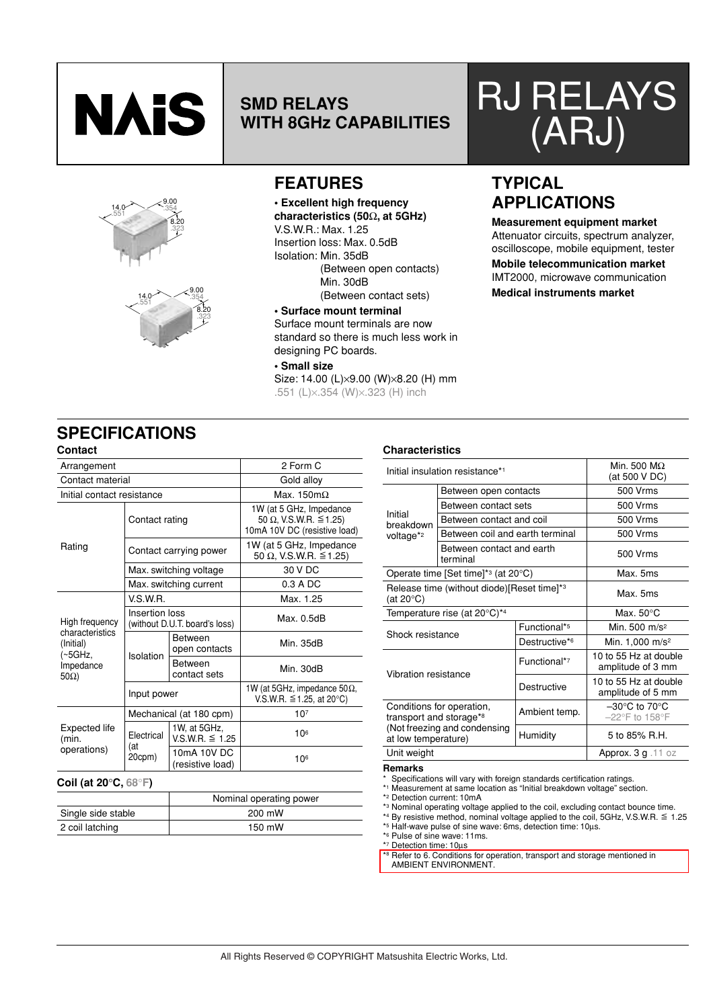





### **SMD RELAYS WITH 8GHz CAPABILITIES**

### **FEATURES**

**• Excellent high frequency characteristics (50**Ω**, at 5GHz)**

V.S.W.R.: Max. 1.25

Insertion loss: Max. 0.5dB Isolation: Min. 35dB (Between open contacts) Min. 30dB

(Between contact sets) **• Surface mount terminal**

Surface mount terminals are now standard so there is much less work in designing PC boards.

**• Small size** Size: 14.00 (L)×9.00 (W)×8.20 (H) mm

.551 (L)×.354 (W)×.323 (H) inch

# RJ RELAYS (ARJ)

### **TYPICAL APPLICATIONS**

**Measurement equipment market** Attenuator circuits, spectrum analyzer, oscilloscope, mobile equipment, tester

**Mobile telecommunication market** IMT2000, microwave communication

**Medical instruments market**

### **SPECIFICATIONS**

|                                         |                | 2 Form C                            |                                                                                                |  |
|-----------------------------------------|----------------|-------------------------------------|------------------------------------------------------------------------------------------------|--|
| Arrangement                             |                |                                     |                                                                                                |  |
| Contact material                        |                | Gold alloy                          |                                                                                                |  |
| Initial contact resistance              |                |                                     | Max. $150 \text{m}\Omega$                                                                      |  |
|                                         | Contact rating |                                     | 1W (at 5 GHz, Impedance<br>50 $\Omega$ , V.S.W.R. $\leq$ 1.25)<br>10mA 10V DC (resistive load) |  |
| Rating                                  |                | Contact carrying power              | 1W (at 5 GHz, Impedance<br>50 Ω, V.S.W.R. ≦1.25)                                               |  |
|                                         |                | Max. switching voltage              | 30 V DC                                                                                        |  |
|                                         |                | Max. switching current              | $0.3 A$ DC                                                                                     |  |
|                                         | V.S.W.R.       |                                     | Max. 1.25                                                                                      |  |
| High frequency                          | Insertion loss | (without D.U.T. board's loss)       | Max. 0.5dB                                                                                     |  |
| characteristics<br>(Initial)<br>(~5GHz, | Isolation      | <b>Between</b><br>open contacts     | Min. 35dB                                                                                      |  |
| Impedance<br>$50\Omega$                 |                | <b>Between</b><br>contact sets      | Min. 30dB                                                                                      |  |
|                                         | Input power    |                                     | 1W (at 5GHz, impedance 50 $\Omega$ ,<br>V.S.W.R. ≦1.25, at 20 $^{\circ}$ C)                    |  |
| Expected life<br>(min.<br>operations)   |                | Mechanical (at 180 cpm)             | 10 <sup>7</sup>                                                                                |  |
|                                         | Electrical     | 1W, at 5GHz,<br>$V.S.W.R. \le 1.25$ | 106                                                                                            |  |
|                                         | (at<br>20cpm)  | 10mA 10V DC<br>(resistive load)     | 106                                                                                            |  |

#### **Coil (at 20**°**C, 68**°**F)**

|                    | Nominal operating power |
|--------------------|-------------------------|
| Single side stable | 200 mW                  |
| 2 coil latching    | 150 mW                  |

### **Characteristics**

|                         | Initial insulation resistance* <sup>1</sup>     | Min. 500 $M\Omega$<br>(at 500 V DC) |                                                                           |  |
|-------------------------|-------------------------------------------------|-------------------------------------|---------------------------------------------------------------------------|--|
|                         | Between open contacts                           |                                     | 500 Vrms                                                                  |  |
|                         | Between contact sets                            |                                     | 500 Vrms                                                                  |  |
| Initial<br>breakdown    | Between contact and coil                        |                                     | 500 Vrms                                                                  |  |
| voltage* <sup>2</sup>   | Between coil and earth terminal                 |                                     | 500 Vrms                                                                  |  |
|                         | Between contact and earth<br>terminal           |                                     | 500 Vrms                                                                  |  |
|                         | Operate time [Set time]* <sup>3</sup> (at 20°C) |                                     | Max. 5ms                                                                  |  |
| (at 20 $\degree$ C)     | Release time (without diode)[Reset time]*3      |                                     | Max. 5ms                                                                  |  |
|                         | Temperature rise (at $20^{\circ}$ C)*4          |                                     | Max. $50^{\circ}$ C                                                       |  |
| Shock resistance        |                                                 | Functional* <sup>5</sup>            | Min. 500 m/s <sup>2</sup>                                                 |  |
|                         |                                                 | Destructive*6                       | Min. 1,000 m/s <sup>2</sup>                                               |  |
| Vibration resistance    |                                                 | Functional*7                        | 10 to 55 Hz at double<br>amplitude of 3 mm                                |  |
|                         |                                                 | Destructive                         | 10 to 55 Hz at double<br>amplitude of 5 mm                                |  |
| transport and storage*8 | Conditions for operation,                       | Ambient temp.                       | $-30^{\circ}$ C to 70 $^{\circ}$ C<br>$-22^{\circ}$ F to 158 $^{\circ}$ F |  |
| at low temperature)     | (Not freezing and condensing                    | Humidity                            | 5 to 85% R.H.                                                             |  |
| Unit weight             |                                                 | Approx. $3g$ . 11 oz                |                                                                           |  |

**Remarks**

Specifications will vary with foreign standards certification ratings.

\*1 Measurement at same location as "Initial breakdown voltage" section. \*2 Detection current: 10mA

\*3 Nominal operating voltage applied to the coil, excluding contact bounce time. \*4 By resistive method, nominal voltage applied to the coil, 5GHz, V.S.W.R. & 1.25

\*5 Half-wave pulse of sine wave: 6ms, detection time: 10µs.

\*6 Pulse of sine wave: 11ms.

\*7 Detection time: 10µs

\*8 Refer to 6. Conditions for operation, transport and storage mentioned in AMBIENT ENVIRONMENT.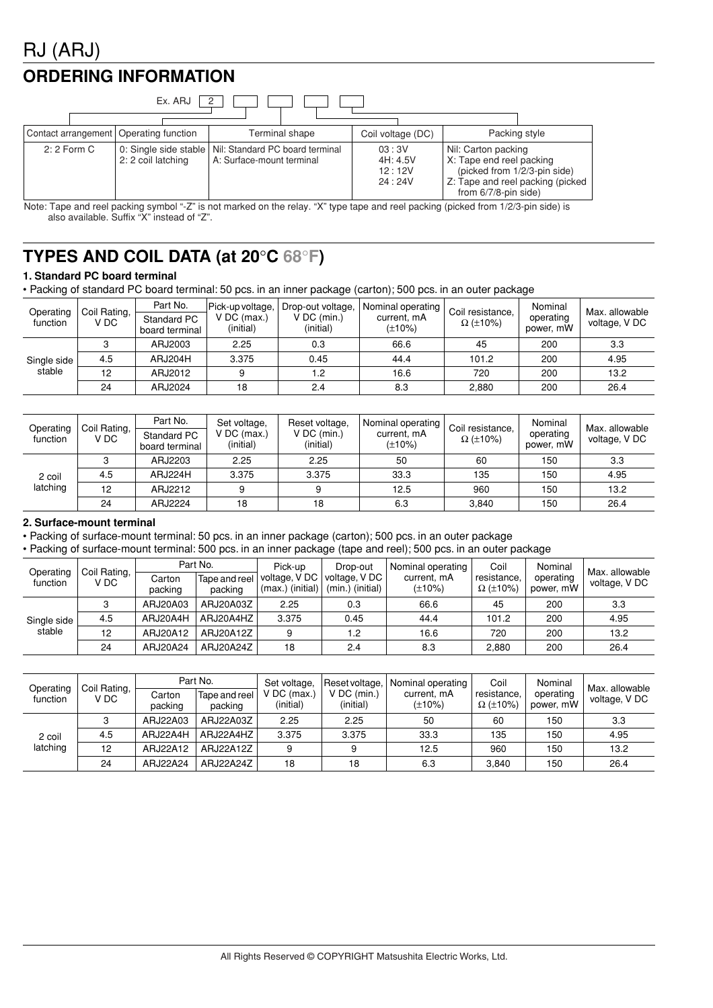# RJ (ARJ)

### **ORDERING INFORMATION**

| Ex. ARJ      |  |                                          |                                                                                      |                |                                       |                   |                                                                                                         |                                   |
|--------------|--|------------------------------------------|--------------------------------------------------------------------------------------|----------------|---------------------------------------|-------------------|---------------------------------------------------------------------------------------------------------|-----------------------------------|
|              |  | Contact arrangement   Operating function |                                                                                      | Terminal shape |                                       | Coil voltage (DC) |                                                                                                         | Packing style                     |
| $2:2$ Form C |  | 2: 2 coil latching                       | 0: Single side stable   Nil: Standard PC board terminal<br>A: Surface-mount terminal |                | 03:3V<br>4H: 4.5V<br>12:12V<br>24:24V |                   | Nil: Carton packing<br>X: Tape end reel packing<br>(picked from 1/2/3-pin side)<br>from 6/7/8-pin side) | Z: Tape and reel packing (picked) |

Note: Tape and reel packing symbol "-Z" is not marked on the relay. "X" type tape and reel packing (picked from 1/2/3-pin side) is also available. Suffix "X" instead of "Z".

## **TYPES AND COIL DATA (at 20**°**C 68**°**F)**

#### **1. Standard PC board terminal**

• Packing of standard PC board terminal: 50 pcs. in an inner package (carton); 500 pcs. in an outer package

| Operating<br>function | Coil Rating,<br>V DC. | Part No.<br>Standard PC<br>board terminal | Pick-up voltage,<br>$V$ DC (max.)<br>(initial) | Drop-out voltage,<br>$V$ DC (min.)<br>(initial) | <b>Nominal operating I</b><br>current, mA<br>(±10%) | Coil resistance,<br>$\Omega$ (±10%) | Nominal<br>operating<br>power, mW | Max. allowable<br>voltage, V DC |
|-----------------------|-----------------------|-------------------------------------------|------------------------------------------------|-------------------------------------------------|-----------------------------------------------------|-------------------------------------|-----------------------------------|---------------------------------|
|                       | ຈ                     | ARJ2003                                   | 2.25                                           | 0.3                                             | 66.6                                                | 45                                  | 200                               | 3.3                             |
| Single side           | 4.5                   | ARJ204H                                   | 3.375                                          | 0.45                                            | 44.4                                                | 101.2                               | 200                               | 4.95                            |
| stable                | 12                    | ARJ2012                                   | 9                                              | 1.2                                             | 16.6                                                | 720                                 | 200                               | 13.2                            |
|                       | 24                    | ARJ2024                                   | 18                                             | 2.4                                             | 8.3                                                 | 2.880                               | 200                               | 26.4                            |

| Operating<br>function | Coil Rating,<br>V DC | Part No.<br>Standard PC<br>board terminal | Set voltage,<br>$V$ DC (max.)<br>(initial) | Reset voltage.<br>$V$ DC (min.)<br>(initial) | Nominal operating I<br>current, mA<br>$(\pm 10\%)$ | Coil resistance.<br>$\Omega$ (±10%) | Nominal<br>operating<br>power, mW | Max. allowable<br>voltage, V DC |
|-----------------------|----------------------|-------------------------------------------|--------------------------------------------|----------------------------------------------|----------------------------------------------------|-------------------------------------|-----------------------------------|---------------------------------|
|                       |                      | ARJ2203                                   | 2.25                                       | 2.25                                         | 50                                                 | 60                                  | 150                               | 3.3                             |
| 2 coil                | 4.5                  | ARJ224H                                   | 3.375                                      | 3.375                                        | 33.3                                               | 135                                 | 150                               | 4.95                            |
| latching              | 12                   | ARJ2212                                   | 9                                          | a                                            | 12.5                                               | 960                                 | 150                               | 13.2                            |
|                       | 24                   | ARJ2224                                   | 18                                         | 18                                           | 6.3                                                | 3.840                               | 150                               | 26.4                            |

#### **2. Surface-mount terminal**

• Packing of surface-mount terminal: 50 pcs. in an inner package (carton); 500 pcs. in an outer package

• Packing of surface-mount terminal: 500 pcs. in an inner package (tape and reel); 500 pcs. in an outer package

| Operating   | Coil Rating, |                   | Part No.                 | Pick-up                             | Drop-out                         | Nominal operating           | Coil                           | Nominal                | Max. allowable |
|-------------|--------------|-------------------|--------------------------|-------------------------------------|----------------------------------|-----------------------------|--------------------------------|------------------------|----------------|
| function    | V DC         | Carton<br>packing | Tape and reel<br>packing | voltage, V DC<br>$(max.)$ (initial) | voltage, VDC<br>(min.) (initial) | current, mA<br>$(\pm 10\%)$ | resistance,<br>$\Omega$ (±10%) | operating<br>power, mW | voltage, V DC  |
|             |              | ARJ20A03          | ARJ20A03Z                | 2.25                                | 0.3                              | 66.6                        | 45                             | 200                    | 3.3            |
| Single side | 4.5          | ARJ20A4H          | ARJ20A4HZ                | 3.375                               | 0.45                             | 44.4                        | 101.2                          | 200                    | 4.95           |
| stable      | 12           | ARJ20A12          | ARJ20A12Z                | 9                                   | $\overline{2}$                   | 16.6                        | 720                            | 200                    | 13.2           |
|             | 24           | ARJ20A24          | ARJ20A24Z                | 18                                  | 2.4                              | 8.3                         | 2,880                          | 200                    | 26.4           |

| Operating<br>function | Coil Rating,<br>V DC | Carton<br>packing | Part No.<br>Tape and reel<br>packing | Set voltage,<br>$V$ DC (max.)<br>(initial) | $V$ DC (min.)<br>(initial) | Reset voltage,   Nominal operating  <br>current, mA<br>$(\pm 10\%)$ | Coil<br>resistance,<br>$\Omega$ (±10%) | Nominal<br>operating<br>power, mW | Max. allowable<br>voltage, V DC |
|-----------------------|----------------------|-------------------|--------------------------------------|--------------------------------------------|----------------------------|---------------------------------------------------------------------|----------------------------------------|-----------------------------------|---------------------------------|
|                       |                      | ARJ22A03          | ARJ22A03Z                            | 2.25                                       | 2.25                       | 50                                                                  | 60                                     | 150                               | 3.3                             |
| 2 coil                | 4.5                  | ARJ22A4H          | ARJ22A4HZ                            | 3.375                                      | 3.375                      | 33.3                                                                | 135                                    | 150                               | 4.95                            |
| latching              | 12                   | ARJ22A12          | ARJ22A12Z                            | 9                                          |                            | 12.5                                                                | 960                                    | 150                               | 13.2                            |
|                       | 24                   | ARJ22A24          | ARJ22A24Z                            | 18                                         | 18                         | 6.3                                                                 | 3.840                                  | 150                               | 26.4                            |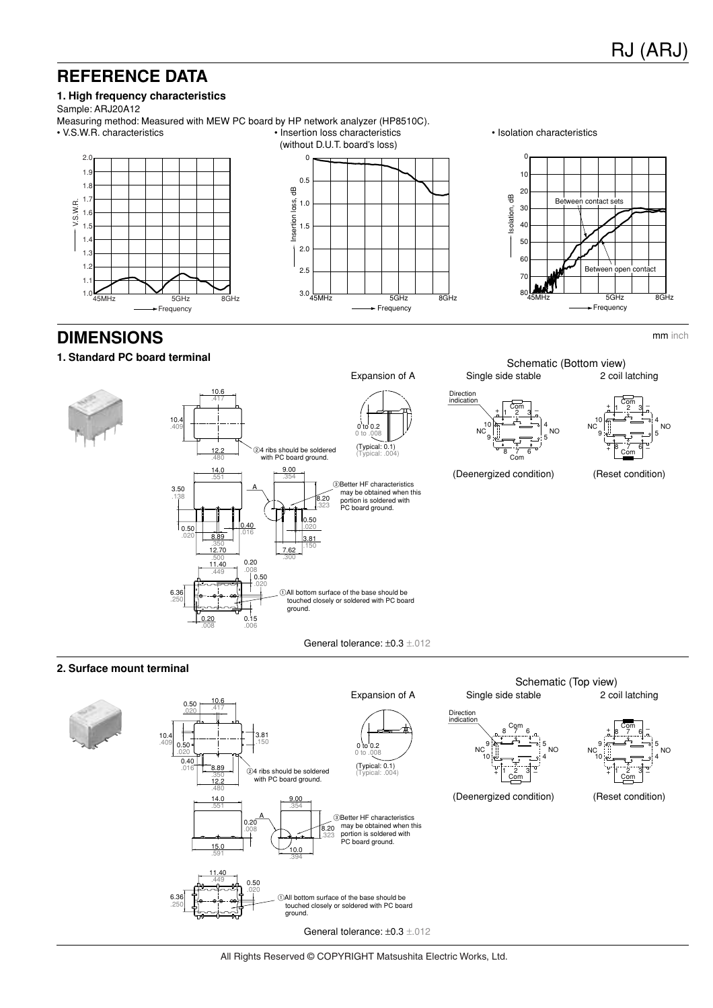mm inch

4

5

### **REFERENCE DATA**

#### **1. High frequency characteristics**

Sample: ARJ20A12

Measuring method: Measured with MEW PC board by HP network analyzer (HP8510C). • V.S.W.R. characteristics • Insertion loss characteristics





• Isolation characteristics



**DIMENSIONS**

#### **1. Standard PC board terminal**



#### **2. Surface mount terminal**



All Rights Reserved © COPYRIGHT Matsushita Electric Works, Ltd.